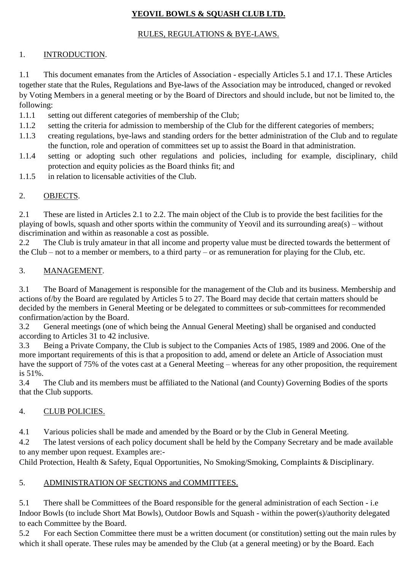# **YEOVIL BOWLS & SQUASH CLUB LTD.**

### RULES, REGULATIONS & BYE-LAWS.

## 1. INTRODUCTION.

1.1 This document emanates from the Articles of Association - especially Articles 5.1 and 17.1. These Articles together state that the Rules, Regulations and Bye-laws of the Association may be introduced, changed or revoked by Voting Members in a general meeting or by the Board of Directors and should include, but not be limited to, the following:

- 1.1.1 setting out different categories of membership of the Club;
- 1.1.2 setting the criteria for admission to membership of the Club for the different categories of members;
- 1.1.3 creating regulations, bye-laws and standing orders for the better administration of the Club and to regulate the function, role and operation of committees set up to assist the Board in that administration.
- 1.1.4 setting or adopting such other regulations and policies, including for example, disciplinary, child protection and equity policies as the Board thinks fit; and
- 1.1.5 in relation to licensable activities of the Club.

## 2. OBJECTS.

2.1 These are listed in Articles 2.1 to 2.2. The main object of the Club is to provide the best facilities for the playing of bowls, squash and other sports within the community of Yeovil and its surrounding area(s) – without discrimination and within as reasonable a cost as possible.

2.2 The Club is truly amateur in that all income and property value must be directed towards the betterment of the Club – not to a member or members, to a third party – or as remuneration for playing for the Club, etc.

## 3. MANAGEMENT.

3.1 The Board of Management is responsible for the management of the Club and its business. Membership and actions of/by the Board are regulated by Articles 5 to 27. The Board may decide that certain matters should be decided by the members in General Meeting or be delegated to committees or sub-committees for recommended confirmation/action by the Board.

3.2 General meetings (one of which being the Annual General Meeting) shall be organised and conducted according to Articles 31 to 42 inclusive.

3.3 Being a Private Company, the Club is subject to the Companies Acts of 1985, 1989 and 2006. One of the more important requirements of this is that a proposition to add, amend or delete an Article of Association must have the support of 75% of the votes cast at a General Meeting – whereas for any other proposition, the requirement is 51%.

3.4 The Club and its members must be affiliated to the National (and County) Governing Bodies of the sports that the Club supports.

## 4. CLUB POLICIES.

4.1 Various policies shall be made and amended by the Board or by the Club in General Meeting.

4.2 The latest versions of each policy document shall be held by the Company Secretary and be made available to any member upon request. Examples are:-

Child Protection, Health & Safety, Equal Opportunities, No Smoking/Smoking, Complaints & Disciplinary.

## 5. ADMINISTRATION OF SECTIONS and COMMITTEES.

5.1 There shall be Committees of the Board responsible for the general administration of each Section - i.e Indoor Bowls (to include Short Mat Bowls), Outdoor Bowls and Squash - within the power(s)/authority delegated to each Committee by the Board.

5.2 For each Section Committee there must be a written document (or constitution) setting out the main rules by which it shall operate. These rules may be amended by the Club (at a general meeting) or by the Board. Each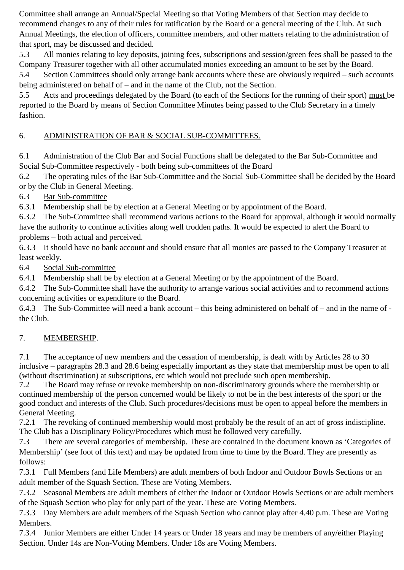Committee shall arrange an Annual/Special Meeting so that Voting Members of that Section may decide to recommend changes to any of their rules for ratification by the Board or a general meeting of the Club. At such Annual Meetings, the election of officers, committee members, and other matters relating to the administration of that sport, may be discussed and decided.

5.3 All monies relating to key deposits, joining fees, subscriptions and session/green fees shall be passed to the Company Treasurer together with all other accumulated monies exceeding an amount to be set by the Board.

5.4 Section Committees should only arrange bank accounts where these are obviously required – such accounts being administered on behalf of – and in the name of the Club, not the Section.

5.5 Acts and proceedings delegated by the Board (to each of the Sections for the running of their sport) must be reported to the Board by means of Section Committee Minutes being passed to the Club Secretary in a timely fashion.

# 6. ADMINISTRATION OF BAR & SOCIAL SUB-COMMITTEES.

6.1 Administration of the Club Bar and Social Functions shall be delegated to the Bar Sub-Committee and Social Sub-Committee respectively - both being sub-committees of the Board

6.2 The operating rules of the Bar Sub-Committee and the Social Sub-Committee shall be decided by the Board or by the Club in General Meeting.

6.3 Bar Sub-committee

6.3.1 Membership shall be by election at a General Meeting or by appointment of the Board.

6.3.2 The Sub-Committee shall recommend various actions to the Board for approval, although it would normally have the authority to continue activities along well trodden paths. It would be expected to alert the Board to problems – both actual and perceived.

6.3.3 It should have no bank account and should ensure that all monies are passed to the Company Treasurer at least weekly.

6.4 Social Sub-committee

6.4.1 Membership shall be by election at a General Meeting or by the appointment of the Board.

6.4.2 The Sub-Committee shall have the authority to arrange various social activities and to recommend actions concerning activities or expenditure to the Board.

6.4.3 The Sub-Committee will need a bank account – this being administered on behalf of – and in the name of the Club.

# 7. MEMBERSHIP.

7.1 The acceptance of new members and the cessation of membership, is dealt with by Articles 28 to 30 inclusive – paragraphs 28.3 and 28.6 being especially important as they state that membership must be open to all (without discrimination) at subscriptions, etc which would not preclude such open membership.

7.2 The Board may refuse or revoke membership on non-discriminatory grounds where the membership or continued membership of the person concerned would be likely to not be in the best interests of the sport or the good conduct and interests of the Club. Such procedures/decisions must be open to appeal before the members in General Meeting.

7.2.1 The revoking of continued membership would most probably be the result of an act of gross indiscipline. The Club has a Disciplinary Policy/Procedures which must be followed very carefully.

7.3 There are several categories of membership. These are contained in the document known as 'Categories of Membership' (see foot of this text) and may be updated from time to time by the Board. They are presently as follows:

7.3.1 Full Members (and Life Members) are adult members of both Indoor and Outdoor Bowls Sections or an adult member of the Squash Section. These are Voting Members.

7.3.2 Seasonal Members are adult members of either the Indoor or Outdoor Bowls Sections or are adult members of the Squash Section who play for only part of the year. These are Voting Members.

7.3.3 Day Members are adult members of the Squash Section who cannot play after 4.40 p.m. These are Voting Members.

7.3.4 Junior Members are either Under 14 years or Under 18 years and may be members of any/either Playing Section. Under 14s are Non-Voting Members. Under 18s are Voting Members.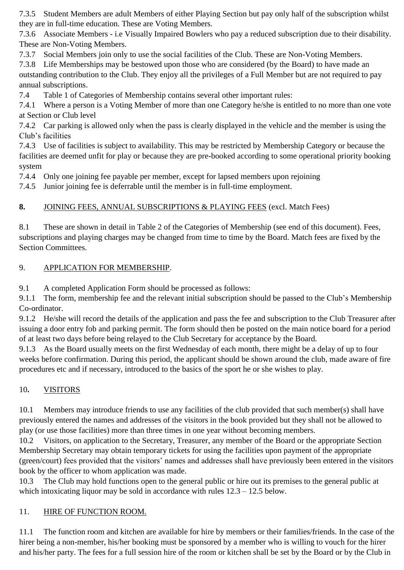7.3.5 Student Members are adult Members of either Playing Section but pay only half of the subscription whilst they are in full-time education. These are Voting Members.

7.3.6 Associate Members - i.e Visually Impaired Bowlers who pay a reduced subscription due to their disability. These are Non-Voting Members.

7.3.7 Social Members join only to use the social facilities of the Club. These are Non-Voting Members.

7.3.8 Life Memberships may be bestowed upon those who are considered (by the Board) to have made an outstanding contribution to the Club. They enjoy all the privileges of a Full Member but are not required to pay annual subscriptions.

7.4 Table 1 of Categories of Membership contains several other important rules:

7.4.1 Where a person is a Voting Member of more than one Category he/she is entitled to no more than one vote at Section or Club level

7.4.2 Car parking is allowed only when the pass is clearly displayed in the vehicle and the member is using the Club's facilities

7.4.3 Use of facilities is subject to availability. This may be restricted by Membership Category or because the facilities are deemed unfit for play or because they are pre-booked according to some operational priority booking system

7.4.4 Only one joining fee payable per member, except for lapsed members upon rejoining

7.4.5 Junior joining fee is deferrable until the member is in full-time employment.

## **8.** JOINING FEES, ANNUAL SUBSCRIPTIONS & PLAYING FEES (excl. Match Fees)

8.1 These are shown in detail in Table 2 of the Categories of Membership (see end of this document). Fees, subscriptions and playing charges may be changed from time to time by the Board. Match fees are fixed by the Section Committees.

## 9. APPLICATION FOR MEMBERSHIP.

9.1 A completed Application Form should be processed as follows:

9.1.1 The form, membership fee and the relevant initial subscription should be passed to the Club's Membership Co-ordinator.

9.1.2 He/she will record the details of the application and pass the fee and subscription to the Club Treasurer after issuing a door entry fob and parking permit. The form should then be posted on the main notice board for a period of at least two days before being relayed to the Club Secretary for acceptance by the Board.

9.1.3 As the Board usually meets on the first Wednesday of each month, there might be a delay of up to four weeks before confirmation. During this period, the applicant should be shown around the club, made aware of fire procedures etc and if necessary, introduced to the basics of the sport he or she wishes to play.

## 10**.** VISITORS

10.1 Members may introduce friends to use any facilities of the club provided that such member(s) shall have previously entered the names and addresses of the visitors in the book provided but they shall not be allowed to play (or use those facilities) more than three times in one year without becoming members.

10.2 Visitors, on application to the Secretary, Treasurer, any member of the Board or the appropriate Section Membership Secretary may obtain temporary tickets for using the facilities upon payment of the appropriate (green/court) fees provided that the visitors' names and addresses shall have previously been entered in the visitors book by the officer to whom application was made.

10.3 The Club may hold functions open to the general public or hire out its premises to the general public at which intoxicating liquor may be sold in accordance with rules  $12.3 - 12.5$  below.

#### 11. HIRE OF FUNCTION ROOM.

11.1 The function room and kitchen are available for hire by members or their families/friends. In the case of the hirer being a non-member, his/her booking must be sponsored by a member who is willing to vouch for the hirer and his/her party. The fees for a full session hire of the room or kitchen shall be set by the Board or by the Club in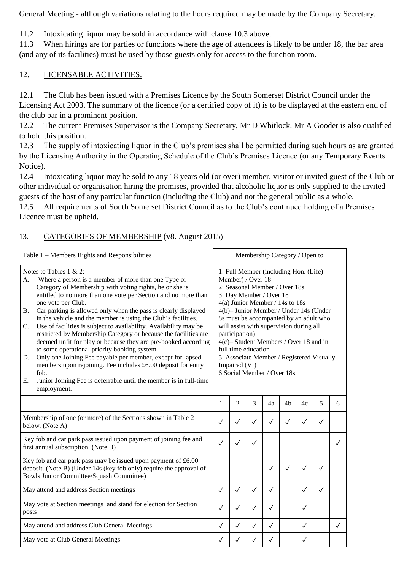General Meeting - although variations relating to the hours required may be made by the Company Secretary.

11.2 Intoxicating liquor may be sold in accordance with clause 10.3 above.

11.3 When hirings are for parties or functions where the age of attendees is likely to be under 18, the bar area (and any of its facilities) must be used by those guests only for access to the function room.

#### 12. LICENSABLE ACTIVITIES.

12.1 The Club has been issued with a Premises Licence by the South Somerset District Council under the Licensing Act 2003. The summary of the licence (or a certified copy of it) is to be displayed at the eastern end of the club bar in a prominent position.

12.2 The current Premises Supervisor is the Company Secretary, Mr D Whitlock. Mr A Gooder is also qualified to hold this position.

12.3 The supply of intoxicating liquor in the Club's premises shall be permitted during such hours as are granted by the Licensing Authority in the Operating Schedule of the Club's Premises Licence (or any Temporary Events Notice).

12.4 Intoxicating liquor may be sold to any 18 years old (or over) member, visitor or invited guest of the Club or other individual or organisation hiring the premises, provided that alcoholic liquor is only supplied to the invited guests of the host of any particular function (including the Club) and not the general public as a whole.

12.5 All requirements of South Somerset District Council as to the Club's continued holding of a Premises Licence must be upheld.

## 13. CATEGORIES OF MEMBERSHIP (v8. August 2015)

| Table 1 – Members Rights and Responsibilities                                                                                                                                                                                                                                                                                                                                                                                                                                                                                                                                                                                                                                                                                                                                                                                                                                                    | Membership Category / Open to                                                                                                                                                                                                                                                                                                                                                                                                                                            |                |                |              |                |              |              |              |  |  |  |
|--------------------------------------------------------------------------------------------------------------------------------------------------------------------------------------------------------------------------------------------------------------------------------------------------------------------------------------------------------------------------------------------------------------------------------------------------------------------------------------------------------------------------------------------------------------------------------------------------------------------------------------------------------------------------------------------------------------------------------------------------------------------------------------------------------------------------------------------------------------------------------------------------|--------------------------------------------------------------------------------------------------------------------------------------------------------------------------------------------------------------------------------------------------------------------------------------------------------------------------------------------------------------------------------------------------------------------------------------------------------------------------|----------------|----------------|--------------|----------------|--------------|--------------|--------------|--|--|--|
| Notes to Tables $1 \& 2$ :<br>Where a person is a member of more than one Type or<br>A.<br>Category of Membership with voting rights, he or she is<br>entitled to no more than one vote per Section and no more than<br>one vote per Club.<br>Car parking is allowed only when the pass is clearly displayed<br><b>B.</b><br>in the vehicle and the member is using the Club's facilities.<br>Use of facilities is subject to availability. Availability may be<br>C.<br>restricted by Membership Category or because the facilities are<br>deemed unfit for play or because they are pre-booked according<br>to some operational priority booking system.<br>Only one Joining Fee payable per member, except for lapsed<br>D.<br>members upon rejoining. Fee includes £6.00 deposit for entry<br>fob.<br>Ε.<br>Junior Joining Fee is deferrable until the member is in full-time<br>employment. | 1: Full Member (including Hon. (Life)<br>Member) / Over 18<br>2: Seasonal Member / Over 18s<br>3: Day Member / Over 18<br>$4(a)$ Junior Member / 14s to 18s<br>4(b)-Junior Member / Under 14s (Under<br>8s must be accompanied by an adult who<br>will assist with supervision during all<br>participation)<br>4(c)– Student Members / Over 18 and in<br>full time education<br>5. Associate Member / Registered Visually<br>Impaired (VI)<br>6 Social Member / Over 18s |                |                |              |                |              |              |              |  |  |  |
|                                                                                                                                                                                                                                                                                                                                                                                                                                                                                                                                                                                                                                                                                                                                                                                                                                                                                                  | $\mathbf{1}$                                                                                                                                                                                                                                                                                                                                                                                                                                                             | $\overline{2}$ | $\overline{3}$ | 4a           | 4 <sub>b</sub> | 4c           | 5            | 6            |  |  |  |
| Membership of one (or more) of the Sections shown in Table 2<br>below. (Note A)                                                                                                                                                                                                                                                                                                                                                                                                                                                                                                                                                                                                                                                                                                                                                                                                                  | $\checkmark$                                                                                                                                                                                                                                                                                                                                                                                                                                                             | $\checkmark$   | $\checkmark$   | $\checkmark$ | $\checkmark$   | $\checkmark$ | $\checkmark$ |              |  |  |  |
| Key fob and car park pass issued upon payment of joining fee and<br>first annual subscription. (Note B)                                                                                                                                                                                                                                                                                                                                                                                                                                                                                                                                                                                                                                                                                                                                                                                          | $\checkmark$                                                                                                                                                                                                                                                                                                                                                                                                                                                             | $\checkmark$   | $\checkmark$   |              |                |              |              | $\checkmark$ |  |  |  |
| Key fob and car park pass may be issued upon payment of £6.00<br>deposit. (Note B) (Under 14s (key fob only) require the approval of<br>Bowls Junior Committee/Squash Committee)                                                                                                                                                                                                                                                                                                                                                                                                                                                                                                                                                                                                                                                                                                                 |                                                                                                                                                                                                                                                                                                                                                                                                                                                                          |                |                | $\checkmark$ | $\checkmark$   | $\checkmark$ | $\checkmark$ |              |  |  |  |
| May attend and address Section meetings                                                                                                                                                                                                                                                                                                                                                                                                                                                                                                                                                                                                                                                                                                                                                                                                                                                          | $\checkmark$                                                                                                                                                                                                                                                                                                                                                                                                                                                             | $\checkmark$   | $\checkmark$   | $\checkmark$ |                | $\checkmark$ | $\checkmark$ |              |  |  |  |
| May vote at Section meetings and stand for election for Section<br>posts                                                                                                                                                                                                                                                                                                                                                                                                                                                                                                                                                                                                                                                                                                                                                                                                                         | $\checkmark$                                                                                                                                                                                                                                                                                                                                                                                                                                                             | $\checkmark$   | $\checkmark$   | ✓            |                | $\checkmark$ |              |              |  |  |  |
| May attend and address Club General Meetings                                                                                                                                                                                                                                                                                                                                                                                                                                                                                                                                                                                                                                                                                                                                                                                                                                                     | $\checkmark$                                                                                                                                                                                                                                                                                                                                                                                                                                                             | $\checkmark$   | $\checkmark$   | $\checkmark$ |                | $\checkmark$ |              | $\sqrt{}$    |  |  |  |
| May vote at Club General Meetings                                                                                                                                                                                                                                                                                                                                                                                                                                                                                                                                                                                                                                                                                                                                                                                                                                                                | ✓                                                                                                                                                                                                                                                                                                                                                                                                                                                                        | ✓              |                |              |                | ✓            |              |              |  |  |  |